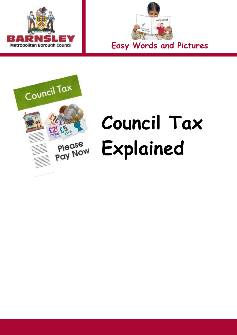



**Easy Words and Pictures** 



# **Council Tax Please** Explained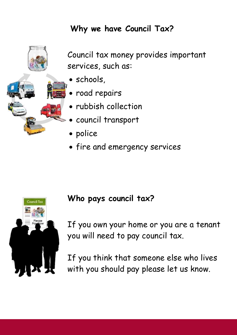#### **Why we have Council Tax?**



 Council tax money provides important services, such as:

- schools,
- road repairs
- rubbish collection
- council transport
- police
- fire and emergency services



#### **Who pays council tax?**

If you own your home or you are a tenant you will need to pay council tax.

If you think that someone else who lives with you should pay please let us know.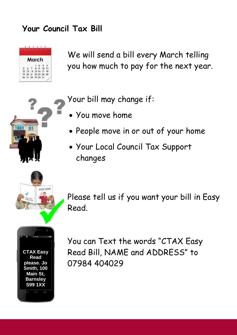#### **Your Council Tax Bill**



We will send a bill every March telling you how much to pay for the next year.

Your bill may change if:

- You move home
- People move in or out of your home
- Your Local Council Tax Support changes



Please tell us if you want your bill in Easy Read.

**CTAX Easy Read please. Jo Smith, 100 Main St, Barnsley S99 1XX** 

You can Text the words "CTAX Easy Read Bill, NAME and ADDRESS" to 07984 404029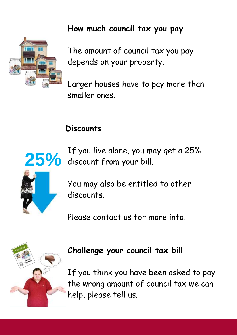#### **How much council tax you pay**



The amount of council tax you pay depends on your property.

 smaller ones. Larger houses have to pay more than

#### **Discounts**



25% If you live alone, you may get a 25%<br>25% discount from your bill. discount from your bill.

> You may also be entitled to other discounts.

Please contact us for more info.



#### **Challenge your council tax bill**

 help, please tell us. If you think you have been asked to pay the wrong amount of council tax we can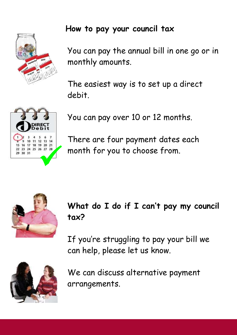#### **How to pay your council tax**



You can pay the annual bill in one go or in monthly amounts.

The easiest way is to set up a direct debit.

10  $26\ 27\ 28$ 

You can pay over 10 or 12 months.

There are four payment dates each month for you to choose from.



**What do I do if I can't pay my council tax?** 

If you're struggling to pay your bill we can help, please let us know.



We can discuss alternative payment arrangements.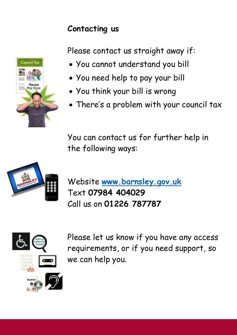#### **Contacting us**

Please contact us straight away if:

- You cannot understand you bill
- You need help to pay your bill
- You think your bill is wrong
- There's a problem with your council tax

 the following ways: You can contact us for further help in



Website **[www.barnsley.gov.uk](http://www.barnsley.gov.uk/)**  Text **07984 404029** Call us on **01226 787787** 



 we can help you. Please let us know if you have any access requirements, or if you need support, so

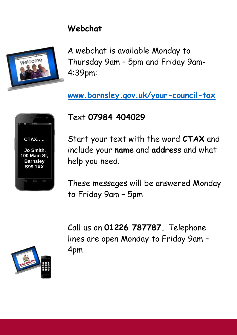#### **Webchat**



 A webchat is available Monday to Thursday 9am – 5pm and Friday 9am-4:39pm:

 **[www.barnsley.gov.uk/your-council-tax](http://www.barnsley.gov.uk/your-council-tax)** 

## **S99 1XX CTAX….. Jo Smith, 100 Main St, Barnsley**

### Text **07984 404029**

Start your text with the word **CTAX** and include your **name** and **address** and what help you need.

 These messages will be answered Monday to Friday 9am – 5pm

Call us on **01226 787787.** Telephone lines are open Monday to Friday 9am – 4pm